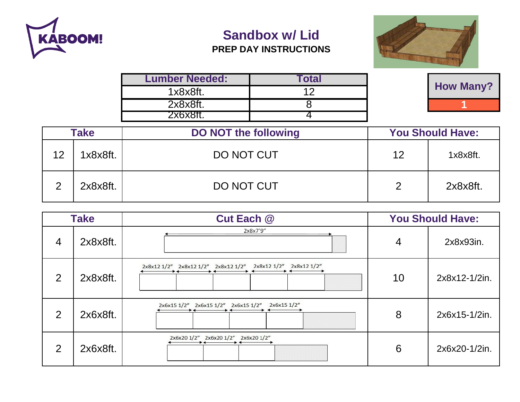

## **Sandbox w/ Lid**

## **PREP DAY INSTRUCTIONS**



| <b>Lumber Needed:</b> | <b>c</b> otal |                  |
|-----------------------|---------------|------------------|
| 1x8x8ft.              |               | <b>How Many?</b> |
| 2x8x8ft.              |               |                  |
| 'x6x8ft.              |               |                  |

| <b>Take</b><br><b>DO NOT the following</b> |          | <b>You Should Have:</b> |    |          |
|--------------------------------------------|----------|-------------------------|----|----------|
| 12                                         | 1x8x8ft. | DO NOT CUT              | 12 | 1x8x8ft. |
| ⌒                                          | 2x8x8ft. | DO NOT CUT              | 2  | 2x8x8ft. |

| <b>Take</b><br><b>Cut Each @</b> |          | <b>You Should Have:</b>                                           |    |               |
|----------------------------------|----------|-------------------------------------------------------------------|----|---------------|
| $\overline{4}$                   | 2x8x8ft. | 2x8x7'9"                                                          | 4  | 2x8x93in.     |
| 2                                | 2x8x8ft. | 2x8x12 1/2" 2x8x12 1/2" 2x8x12 1/2"<br>2x8x12 1/2"<br>2x8x12 1/2" | 10 | 2x8x12-1/2in. |
| 2                                | 2x6x8ft. | 2x6x15 1/2"<br>2x6x15 1/2" 2x6x15 1/2"<br>2x6x15 1/2"             | 8  | 2x6x15-1/2in. |
| 2                                | 2x6x8ft. | 2x6x20 1/2" 2x6x20 1/2"<br>2x6x20 1/2"                            | 6  | 2x6x20-1/2in. |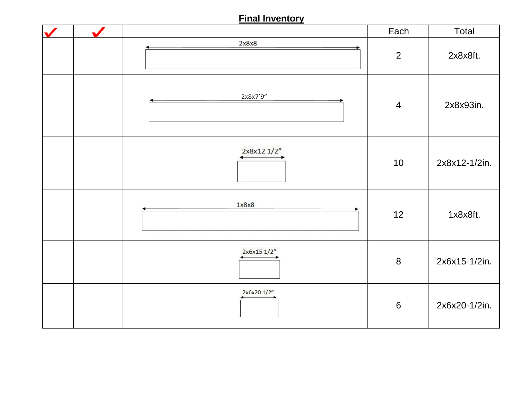## **Final Inventory**

|  |             | Each             | Total         |
|--|-------------|------------------|---------------|
|  | 2x8x8       | $\overline{2}$   | 2x8x8ft.      |
|  | 2x8x7'9"    | $\overline{4}$   | 2x8x93in.     |
|  | 2x8x12 1/2" | 10               | 2x8x12-1/2in. |
|  | 1x8x8       | 12               | 1x8x8ft.      |
|  | 2x6x15 1/2" | $\bf 8$          | 2x6x15-1/2in. |
|  | 2x6x20 1/2" | $\boldsymbol{6}$ | 2x6x20-1/2in. |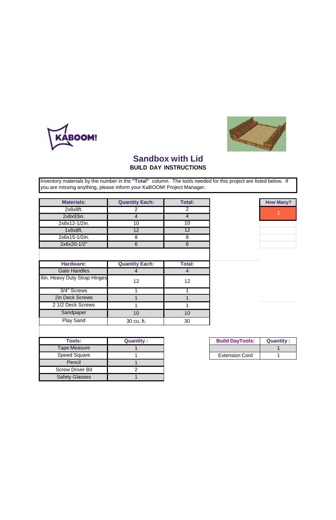## **Sandbox with Lid**

**BUILD DAY INSTRUCTIONS**

Inventory materials by the number in the **"Total"** column. The tools needed for this project are listed below. If you are missing anything, please inform your KaBOOM! Project Manager.

| <b>Materials:</b>            | <b>Quantity Each:</b>                                          | <b>Total:</b>  |                   |
|------------------------------|----------------------------------------------------------------|----------------|-------------------|
| 2x8x8ft.                     | 2                                                              | $\overline{2}$ |                   |
| 2x8x93in.                    | $\overline{4}$                                                 | $\overline{4}$ |                   |
| 2x8x12-1/2in.                | 10                                                             | 10             |                   |
| 1x8x8ft.                     | 12                                                             | 12             |                   |
| 2x6x15-1/2in.                | 8                                                              | 8              |                   |
| 2x6x20-1/2"                  | 6                                                              | 6              |                   |
|                              |                                                                |                |                   |
|                              |                                                                |                |                   |
| <b>Hardware:</b>             | <b>Quantity Each:</b>                                          | <b>Total:</b>  |                   |
| <b>Gate Handles</b>          | $\overline{4}$                                                 | $\overline{4}$ |                   |
| 6in. Heavy Duty Strap Hinges | 12                                                             | 12             |                   |
| 3/4" Screws                  | 1                                                              | 1              |                   |
| 2in Deck Screws              | 1                                                              | 1              |                   |
| 2 1/2 Deck Screws            | 1                                                              | 1              |                   |
| Sandpaper                    | 10                                                             | 10             |                   |
| Play Sand                    | 30 cu. ft.                                                     | 30             |                   |
|                              |                                                                |                |                   |
| Taala:                       | $\bigcap \mathsf{r}$ and $\mathsf{r}$ is a set of $\mathsf{r}$ |                | <b>DUBLA DAUT</b> |

| <b>Tools:</b>           | <b>Quantity:</b> | <b>Build DayTools:</b> |
|-------------------------|------------------|------------------------|
| Tape Measure            |                  |                        |
| <b>Speed Square</b>     |                  | <b>Extension Cord</b>  |
| Pencil                  |                  |                        |
| <b>Screw Driver Bit</b> |                  |                        |
| <b>Safety Glasses</b>   |                  |                        |

| <b>Build DayTools:</b> | <b>Quantity:</b> |
|------------------------|------------------|
|                        |                  |
| <b>Extension Cord</b>  |                  |





**How Many?**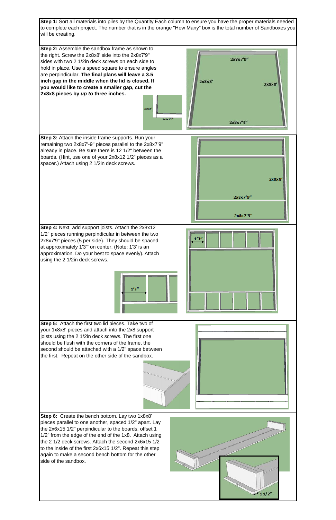**Step 1:** Sort all materials into piles by the Quantity Each column to ensure you have the proper materials needed to complete each project. The number that is in the orange "How Many" box is the total number of Sandboxes you will be creating.





**Step 6:** Create the bench bottom. Lay two 1x8x8' pieces parallel to one another, spaced 1/2" apart. Lay the 2x6x15 1/2" perpindicular to the boards, offset 1 1/2" from the edge of the end of the 1x8. Attach using the 2 1/2 deck screws. Attach the second 2x6x15 1/2 to the inside of the first 2x6x15 1/2". Repeat this step again to make a second bench bottom for the other side of the sandbox.